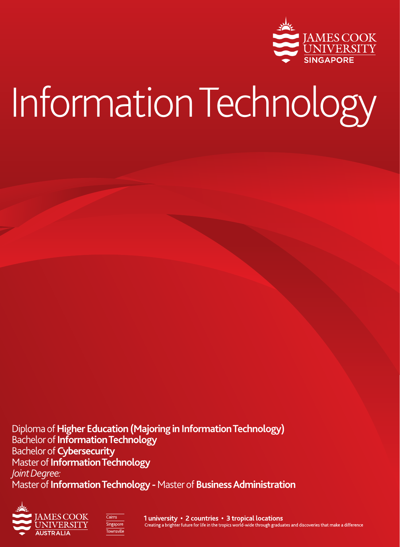

# Information Technology

Diploma of **Higher Education (Majoring in Information Technology)** Bachelor of **Information Technology** Bachelor of **Cybersecurity** Master of **Information Technology** *Joint Degree:* Master of **Information Technology -** Master of **Business Administration** 





1 university • 2 countries • 3 tropical locations Creating a brighter future for life in the tropics world-wide through graduates and discoveries that make a difference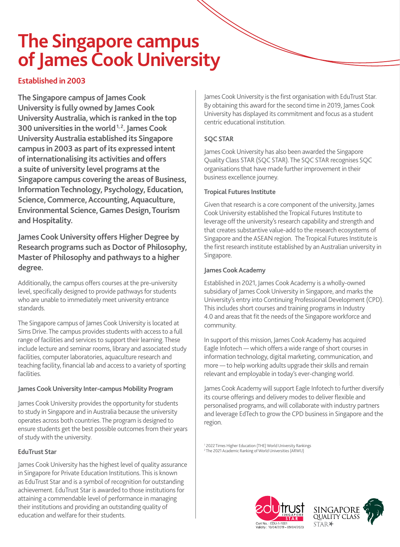### **The Singapore campus of James Cook University**

#### **Established in 2003**

**The Singapore campus of James Cook University is fully owned by James Cook University Australia, which is ranked in the top 300 universities in the world 1, 2. James Cook University Australia established its Singapore campus in 2003 as part of its expressed intent of internationalising its activities and offers a suite of university level programs at the Singapore campus covering the areas of Business, Information Technology, Psychology, Education, Science, Commerce, Accounting, Aquaculture, Environmental Science, Games Design, Tourism and Hospitality.**

**James Cook University offers Higher Degree by Research programs such as Doctor of Philosophy, Master of Philosophy and pathways to a higher degree.**

Additionally, the campus offers courses at the pre-university level, specifically designed to provide pathways for students who are unable to immediately meet university entrance standards.

The Singapore campus of James Cook University is located at Sims Drive. The campus provides students with access to a full range of facilities and services to support their learning. These include lecture and seminar rooms, library and associated study facilities, computer laboratories, aquaculture research and teaching facility, financial lab and access to a variety of sporting facilities.

#### **James Cook University Inter-campus Mobility Program**

James Cook University provides the opportunity for students to study in Singapore and in Australia because the university operates across both countries. The program is designed to ensure students get the best possible outcomes from their years of study with the university.

#### **EduTrust Star**

James Cook University has the highest level of quality assurance in Singapore for Private Education Institutions. This is known as EduTrust Star and is a symbol of recognition for outstanding achievement. EduTrust Star is awarded to those institutions for attaining a commendable level of performance in managing their institutions and providing an outstanding quality of education and welfare for their students.

James Cook University is the first organisation with EduTrust Star. By obtaining this award for the second time in 2019, James Cook University has displayed its commitment and focus as a student centric educational institution.

#### **SQC STAR**

James Cook University has also been awarded the Singapore Quality Class STAR (SQC STAR). The SQC STAR recognises SQC organisations that have made further improvement in their business excellence journey.

#### **Tropical Futures Institute**

Given that research is a core component of the university, James Cook University established the Tropical Futures Institute to leverage off the university's research capability and strength and that creates substantive value-add to the research ecosystems of Singapore and the ASEAN region. The Tropical Futures Institute is the first research institute established by an Australian university in Singapore.

#### **James Cook Academy**

Established in 2021, James Cook Academy is a wholly-owned subsidiary of James Cook University in Singapore, and marks the University's entry into Continuing Professional Development (CPD). This includes short courses and training programs in Industry 4.0 and areas that fit the needs of the Singapore workforce and community.

In support of this mission, James Cook Academy has acquired Eagle Infotech — which offers a wide range of short courses in information technology, digital marketing, communication, and more — to help working adults upgrade their skills and remain relevant and employable in today's ever-changing world.

James Cook Academy will support Eagle Infotech to further diversify its course offerings and delivery modes to deliver flexible and personalised programs, and will collaborate with industry partners and leverage EdTech to grow the CPD business in Singapore and the region.

1 2022 Times Higher Education (THE) World University Rankings 2 The 2021 Academic Ranking of World Universities (ARWU)



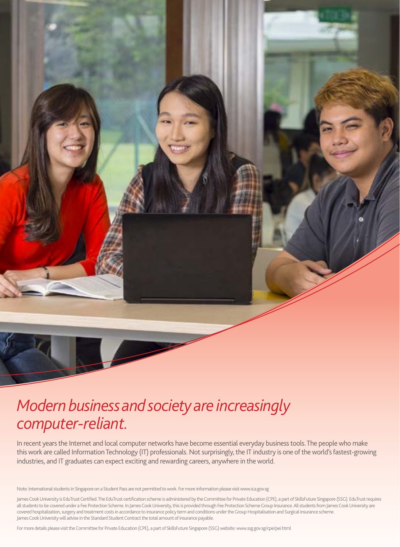

### *Modern business and society are increasingly computer-reliant.*

In recent years the Internet and local computer networks have become essential everyday business tools. The people who make this work are called Information Technology (IT) professionals. Not surprisingly, the IT industry is one of the world's fastest-growing industries, and IT graduates can expect exciting and rewarding careers, anywhere in the world.

Note: International students in Singapore on a Student Pass are not permitted to work. For more information please visit www.ica.gov.sg

James Cook University is EduTrust Certified. The EduTrust certification scheme is administered by the Committee for Private Education (CPE), a part of SkillsFuture Singapore (SSG). EduTrust requires all students to be covered under a Fee Protection Scheme. In James Cook University, this is provided through Fee Protection Scheme Group Insurance. All students from James Cook University are covered hospitalization, surgery and treatment costs in accordance to insurance policy term and conditions under the Group Hospitalisation and Surgical insurance scheme. James Cook University will advise in the Standard Student Contract the total amount of insurance payable.

For more details please visit the Committee for Private Education (CPE), a part of SkillsFuture Singapore (SSG) website: www.ssg.gov.sg/cpe/pei.html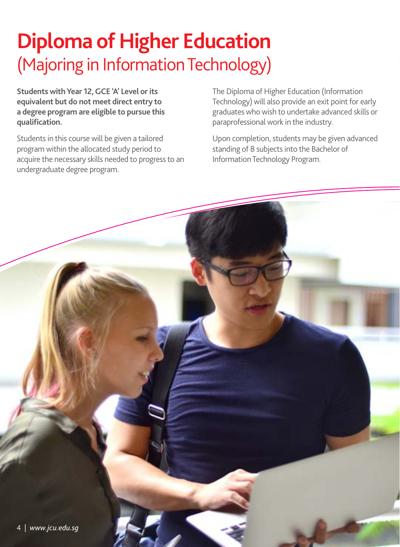# **Diploma of Higher Education** (Majoring in Information Technology)

**Students with Year 12, GCE 'A' Level or its equivalent but do not meet direct entry to a degree program are eligible to pursue this qualification.**

Students in this course will be given a tailored program within the allocated study period to acquire the necessary skills needed to progress to an undergraduate degree program.

The Diploma of Higher Education (Information Technology) will also provide an exit point for early graduates who wish to undertake advanced skills or paraprofessional work in the industry.

Upon completion, students may be given advanced standing of 8 subjects into the Bachelor of Information Technology Program.

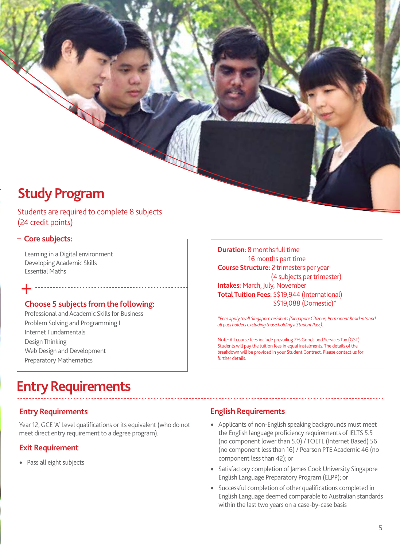Students are required to complete 8 subjects (24 credit points)

#### **Core subjects:**

+

Learning in a Digital environment Developing Academic Skills Essential Maths

#### **Choose 5 subjects from the following:**

Professional and Academic Skills for Business Problem Solving and Programming I Internet Fundamentals Design Thinking Web Design and Development Preparatory Mathematics

#### **Duration:** 8 months full time 16 months part time **Course Structure:** 2 trimesters per year (4 subjects per trimester) **Intakes:** March, July, November **Total Tuition Fees:** S\$19,944 (International) S\$19,088 (Domestic)\*

*\*Fees apply to all Singapore residents (Singapore Citizens, Permanent Residents and all pass holders excluding those holding a Student Pass).*

Note: All course fees include prevailing 7% Goods and Services Tax (GST) Students will pay the tuition fees in equal instalments. The details of the breakdown will be provided in your Student Contract. Please contact us for further details.

### **Entry Requirements**

#### **Entry Requirements**

Year 12, GCE 'A' Level qualifications or its equivalent (who do not meet direct entry requirement to a degree program).

#### **Exit Requirement**

• Pass all eight subjects

- Applicants of non-English speaking backgrounds must meet the English language proficiency requirements of IELTS 5.5 (no component lower than 5.0) / TOEFL (Internet Based) 56 (no component less than 16) / Pearson PTE Academic 46 (no component less than 42); or
- Satisfactory completion of James Cook University Singapore English Language Preparatory Program (ELPP); or
- Successful completion of other qualifications completed in English Language deemed comparable to Australian standards within the last two years on a case-by-case basis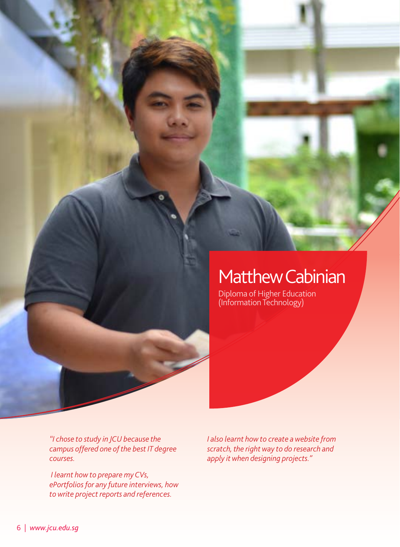### Matthew Cabinian

Diploma of Higher Education (Information Technology)

*"I chose to study in JCU because the campus offered one of the best IT degree courses.*

 *I learnt how to prepare my CVs, ePortfolios for any future interviews, how to write project reports and references.*

*I also learnt how to create a website from scratch, the right way to do research and apply it when designing projects."*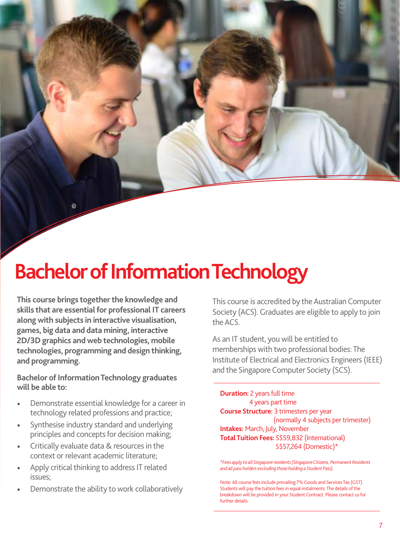# **Bachelor of Information Technology**

**This course brings together the knowledge and skills that are essential for professional IT careers along with subjects in interactive visualisation, games, big data and data mining, interactive 2D/3D graphics and web technologies, mobile technologies, programming and design thinking, and programming.** 

and the Singapore Computer Society (SCS). **Bachelor of Information Technology graduates will be able to:**

- Demonstrate essential knowledge for a career in technology related professions and practice;
- Synthesise industry standard and underlying principles and concepts for decision making;
- Critically evaluate data & resources in the context or relevant academic literature;
- Apply critical thinking to address IT related issues;
- Demonstrate the ability to work collaboratively

This course is accredited by the Australian Computer Society (ACS). Graduates are eligible to apply to join the ACS.

As an IT student, you will be entitled to memberships with two professional bodies: The Institute of Electrical and Electronics Engineers (IEEE)

**Duration:** 2 years full time 4 years part time **Course Structure:** 3 trimesters per year (normally 4 subjects per trimester) **Intakes:** March, July, November **Total Tuition Fees:** S\$59,832 (International) S\$57,264 (Domestic)\*

*\*Fees apply to all Singapore residents (Singapore Citizens, Permanent Residents and all pass holders excluding those holding a Student Pass).*

Note: All course fees include prevailing 7% Goods and Services Tax (GST) Students will pay the tuition fees in equal instalments. The details of the breakdown will be provided in your Student Contract. Please contact us for further details.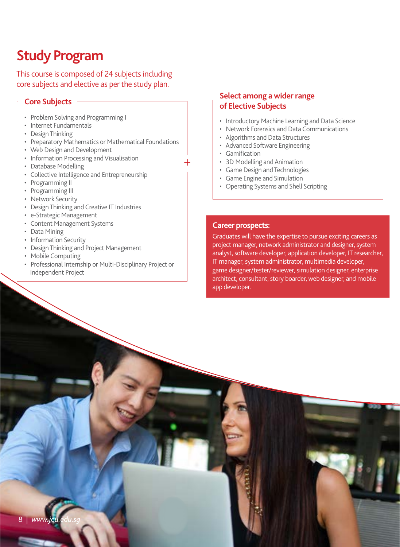This course is composed of 24 subjects including core subjects and elective as per the study plan.

- Problem Solving and Programming I
- Internet Fundamentals
- Design Thinking
- Preparatory Mathematics or Mathematical Foundations
- Web Design and Development
- Information Processing and Visualisation
- Database Modelling
- Collective Intelligence and Entrepreneurship
- Programming II
- Programming III
- Network Security
- Design Thinking and Creative IT Industries
- e-Strategic Management
- Content Management Systems
- Data Mining
- Information Security
- Design Thinking and Project Management
- Mobile Computing
- Professional Internship or Multi-Disciplinary Project or Independent Project

#### **Core Subjects Select among a wider range of Elective Subjects**

- Introductory Machine Learning and Data Science
- Network Forensics and Data Communications
- Algorithms and Data Structures
- Advanced Software Engineering
- Gamification

+

- 3D Modelling and Animation
- Game Design and Technologies
- Game Engine and Simulation
- Operating Systems and Shell Scripting

#### **Career prospects:**

Graduates will have the expertise to pursue exciting careers as project manager, network administrator and designer, system analyst, software developer, application developer, IT researcher, IT manager, system administrator, multimedia developer, game designer/tester/reviewer, simulation designer, enterprise architect, consultant, story boarder, web designer, and mobile app developer.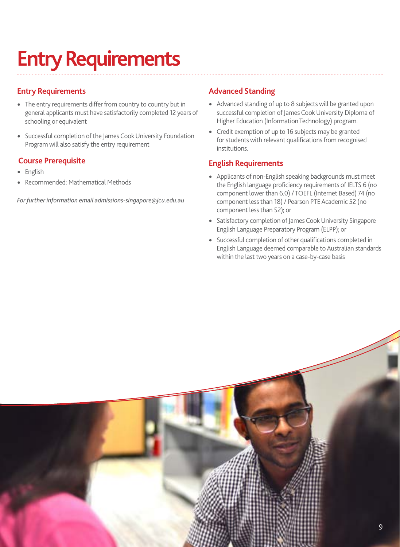# **Entry Requirements**

#### **Entry Requirements**

- The entry requirements differ from country to country but in general applicants must have satisfactorily completed 12 years of schooling or equivalent
- Successful completion of the James Cook University Foundation Program will also satisfy the entry requirement

#### **Course Prerequisite**

- English
- Recommended: Mathematical Methods

*For further information email admissions-singapore@jcu.edu.au*

#### **Advanced Standing**

- Advanced standing of up to 8 subjects will be granted upon successful completion of James Cook University Diploma of Higher Education (Information Technology) program.
- Credit exemption of up to 16 subjects may be granted for students with relevant qualifications from recognised institutions.

- Applicants of non-English speaking backgrounds must meet the English language proficiency requirements of IELTS 6 (no component lower than 6.0) / TOEFL (Internet Based) 74 (no component less than 18) / Pearson PTE Academic 52 (no component less than 52); or
- Satisfactory completion of James Cook University Singapore English Language Preparatory Program (ELPP); or
- Successful completion of other qualifications completed in English Language deemed comparable to Australian standards within the last two years on a case-by-case basis

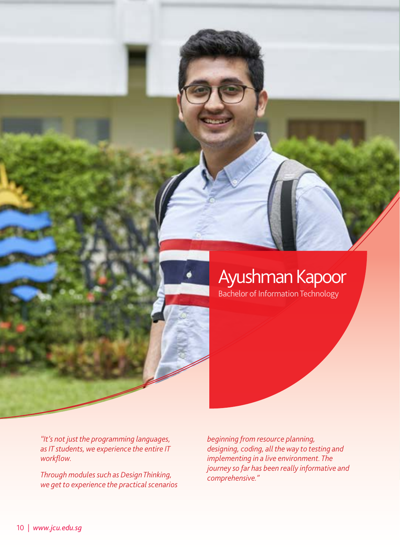

# Ayushman Kapoor

Bachelor of Information Technology

*"It's not just the programming languages, as IT students, we experience the entire IT workflow.* 

*Through modules such as Design Thinking, we get to experience the practical scenarios*

*beginning from resource planning, designing, coding, all the way to testing and implementing in a live environment. The journey so far has been really informative and comprehensive."*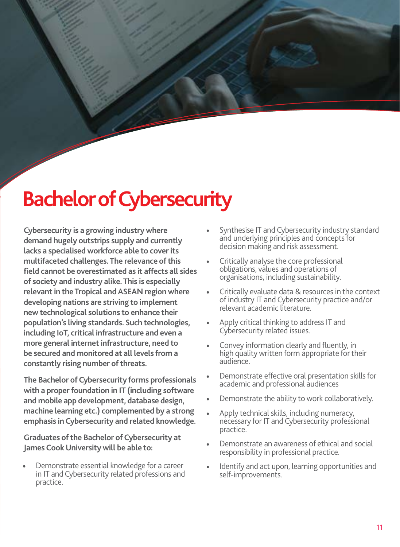# **Bachelor of Cybersecurity**

**Cybersecurity is a growing industry where demand hugely outstrips supply and currently lacks a specialised workforce able to cover its multifaceted challenges. The relevance of this field cannot be overestimated as it affects all sides of society and industry alike. This is especially relevant in the Tropical and ASEAN region where developing nations are striving to implement new technological solutions to enhance their population's living standards. Such technologies, including IoT, critical infrastructure and even a more general internet infrastructure, need to be secured and monitored at all levels from a constantly rising number of threats.**

**The Bachelor of Cybersecurity forms professionals with a proper foundation in IT (including software and mobile app development, database design, machine learning etc.) complemented by a strong emphasis in Cybersecurity and related knowledge.** 

**Graduates of the Bachelor of Cybersecurity at James Cook University will be able to:**

• Demonstrate essential knowledge for a career in IT and Cybersecurity related professions and practice.

- Synthesise IT and Cybersecurity industry standard and underlying principles and concepts for decision making and risk assessment.
- Critically analyse the core professional obligations, values and operations of organisations, including sustainability.
- Critically evaluate data & resources in the context of industry IT and Cybersecurity practice and/or relevant academic literature.
- Apply critical thinking to address IT and Cybersecurity related issues.
- Convey information clearly and fluently, in high quality written form appropriate for their audience.
- Demonstrate effective oral presentation skills for academic and professional audiences
- Demonstrate the ability to work collaboratively.
- Apply technical skills, including numeracy, necessary for IT and Cybersecurity professional practice.
- Demonstrate an awareness of ethical and social responsibility in professional practice.
- Identify and act upon, learning opportunities and self-improvements.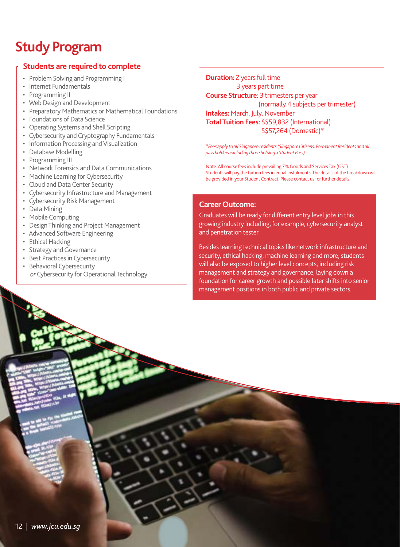#### **Students are required to complete**

- Problem Solving and Programming I
- Internet Fundamentals
- Programming II
- Web Design and Development
- Preparatory Mathematics or Mathematical Foundations
- Foundations of Data Science
- Operating Systems and Shell Scripting
- Cybersecurity and Cryptography Fundamentals
- Information Processing and Visualization
- Database Modelling
- Programming III
- Network Forensics and Data Communications
- Machine Learning for Cybersecurity
- Cloud and Data Center Security
- Cybersecurity Infrastructure and Management
- Cybersecurity Risk Management
- Data Mining
- Mobile Computing
- Design Thinking and Project Management
- Advanced Software Engineering
- Ethical Hacking
- Strategy and Governance
- Best Practices in Cybersecurity
- Behavioral Cybersecurity *or* Cybersecurity for Operational Technology

**Duration:** 2 years full time 3 years part time **Course Structure**: 3 trimesters per year (normally 4 subjects per trimester) **Intakes:** March, July, November **Total Tuition Fees:** S\$59,832 (International) S\$57,264 (Domestic)\*

*\*Fees apply to all Singapore residents (Singapore Citizens, Permanent Residents and all pass holders excluding those holding a Student Pass).*

Note: All course fees include prevailing 7% Goods and Services Tax (GST) Students will pay the tuition fees in equal instalments. The details of the breakdown will be provided in your Student Contract. Please contact us for further details.

#### **Career Outcome:**

Graduates will be ready for different entry level jobs in this growing industry including, for example, cybersecurity analyst and penetration tester.

Besides learning technical topics like network infrastructure and security, ethical hacking, machine learning and more, students will also be exposed to higher level concepts, including risk management and strategy and governance, laying down a foundation for career growth and possible later shifts into senior management positions in both public and private sectors.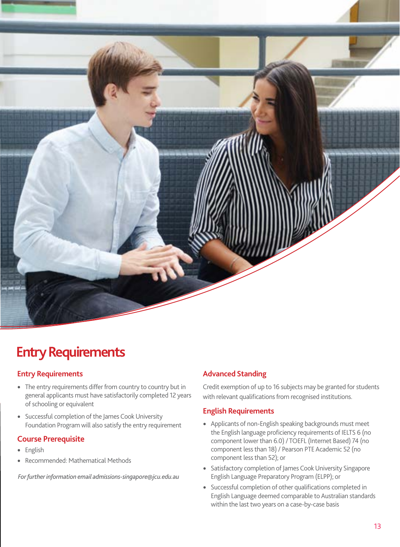

### **Entry Requirements**

#### **Entry Requirements**

- The entry requirements differ from country to country but in general applicants must have satisfactorily completed 12 years of schooling or equivalent
- Successful completion of the James Cook University Foundation Program will also satisfy the entry requirement

#### **Course Prerequisite**

- English
- Recommended: Mathematical Methods

 *For further information email admissions-singapore@jcu.edu.au*

#### **Advanced Standing**

Credit exemption of up to 16 subjects may be granted for students with relevant qualifications from recognised institutions.

- Applicants of non-English speaking backgrounds must meet the English language proficiency requirements of IELTS 6 (no component lower than 6.0) / TOEFL (Internet Based) 74 (no component less than 18) / Pearson PTE Academic 52 (no component less than 52); or
- Satisfactory completion of James Cook University Singapore English Language Preparatory Program (ELPP); or
- Successful completion of other qualifications completed in English Language deemed comparable to Australian standards within the last two years on a case-by-case basis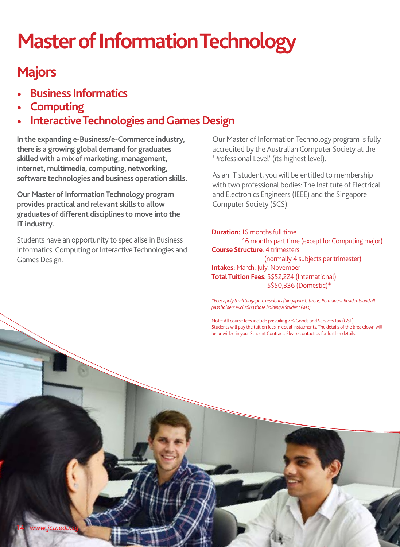# **Master of Information Technology**

### **Majors**

- **Business Informatics**
- **Computing**
- **Interactive Technologies and Games Design**

**In the expanding e-Business/e-Commerce industry, there is a growing global demand for graduates skilled with a mix of marketing, management, internet, multimedia, computing, networking, software technologies and business operation skills.** 

**Our Master of Information Technology program provides practical and relevant skills to allow graduates of different disciplines to move into the IT industry.**

Students have an opportunity to specialise in Business Informatics, Computing or Interactive Technologies and Games Design.

Our Master of Information Technology program is fully accredited by the Australian Computer Society at the 'Professional Level' (its highest level).

As an IT student, you will be entitled to membership with two professional bodies: The Institute of Electrical and Electronics Engineers (IEEE) and the Singapore Computer Society (SCS).

**Duration:** 16 months full time 16 months part time (except for Computing major) **Course Structure**: 4 trimesters (normally 4 subjects per trimester) **Intakes:** March, July, November **Total Tuition Fees:** S\$52,224 (International) S\$50,336 (Domestic)\*

*\*Fees apply to all Singapore residents (Singapore Citizens, Permanent Residents and all pass holders excluding those holding a Student Pass).*

Note: All course fees include prevailing 7% Goods and Services Tax (GST) Students will pay the tuition fees in equal instalments. The details of the breakdown will be provided in your Student Contract. Please contact us for further details.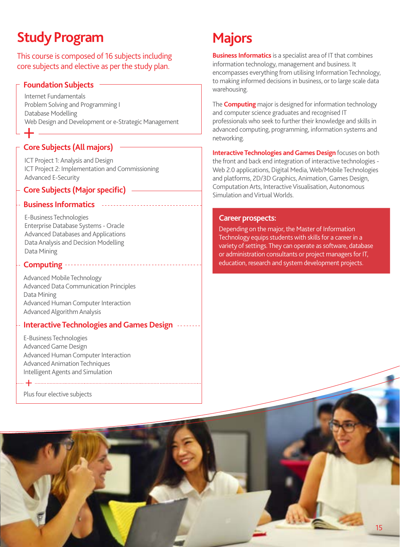This course is composed of 16 subjects including core subjects and elective as per the study plan.

#### **Foundation Subjects**

Internet Fundamentals Problem Solving and Programming I Database Modelling Web Design and Development or e-Strategic Management  $+$ 

#### **Core Subjects (All majors)**

ICT Project 1: Analysis and Design ICT Project 2: Implementation and Commissioning Advanced E-Security

#### **Core Subjects (Major specific)**

#### **Business Informatics**

E-Business Technologies Enterprise Database Systems - Oracle Advanced Databases and Applications Data Analysis and Decision Modelling Data Mining

#### **Computing**

Advanced Mobile Technology Advanced Data Communication Principles Data Mining Advanced Human Computer Interaction Advanced Algorithm Analysis

#### **Interactive Technologies and Games Design**

E-Business Technologies Advanced Game Design Advanced Human Computer Interaction Advanced Animation Techniques Intelligent Agents and Simulation

Plus four elective subjects

+

### **Majors**

**Business Informatics** is a specialist area of IT that combines information technology, management and business. It encompasses everything from utilising Information Technology, to making informed decisions in business, or to large scale data warehousing.

The **Computing** major is designed for information technology and computer science graduates and recognised IT professionals who seek to further their knowledge and skills in advanced computing, programming, information systems and networking.

**Interactive Technologies and Games Design** focuses on both the front and back end integration of interactive technologies - Web 2.0 applications, Digital Media, Web/Mobile Technologies and platforms, 2D/3D Graphics, Animation, Games Design, Computation Arts, Interactive Visualisation, Autonomous Simulation and Virtual Worlds.

#### **Career prospects:**

Depending on the major, the Master of Information Technology equips students with skills for a career in a variety of settings. They can operate as software, database or administration consultants or project managers for IT, education, research and system development projects.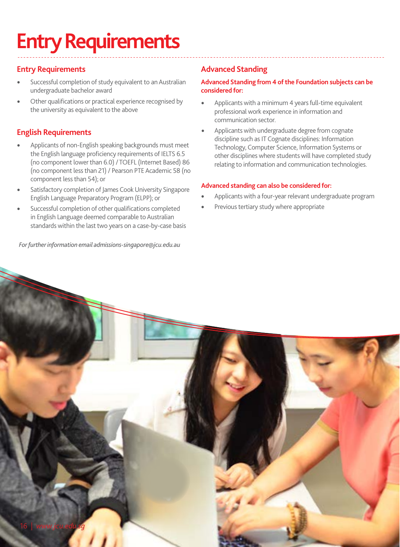# **Entry Requirements**

#### **Entry Requirements**

- Successful completion of study equivalent to an Australian undergraduate bachelor award
- Other qualifications or practical experience recognised by the university as equivalent to the above

#### **English Requirements**

- Applicants of non-English speaking backgrounds must meet the English language proficiency requirements of IELTS 6.5 (no component lower than 6.0) / TOEFL (Internet Based) 86 (no component less than 21) / Pearson PTE Academic 58 (no component less than 54); or
- Satisfactory completion of James Cook University Singapore English Language Preparatory Program (ELPP); or
- Successful completion of other qualifications completed in English Language deemed comparable to Australian standards within the last two years on a case-by-case basis

 *For further information email admissions-singapore@jcu.edu.au*

#### **Advanced Standing**

#### **Advanced Standing from 4 of the Foundation subjects can be considered for:**

- Applicants with a minimum 4 years full-time equivalent professional work experience in information and communication sector.
- Applicants with undergraduate degree from cognate discipline such as IT Cognate disciplines: Information Technology, Computer Science, Information Systems or other disciplines where students will have completed study relating to information and communication technologies.

#### **Advanced standing can also be considered for:**

- Applicants with a four-year relevant undergraduate program
- Previous tertiary study where appropriate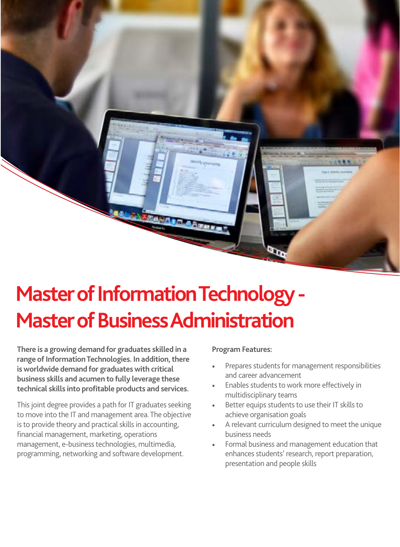

# **Master of Information Technology - Master of Business Administration**

**There is a growing demand for graduates skilled in a range of Information Technologies. In addition, there is worldwide demand for graduates with critical business skills and acumen to fully leverage these technical skills into profitable products and services.**

This joint degree provides a path for IT graduates seeking to move into the IT and management area. The objective is to provide theory and practical skills in accounting, financial management, marketing, operations management, e-business technologies, multimedia, programming, networking and software development.

#### **Program Features:**

- Prepares students for management responsibilities and career advancement
- Enables students to work more effectively in multidisciplinary teams
- Better equips students to use their IT skills to achieve organisation goals
- A relevant curriculum designed to meet the unique business needs
- Formal business and management education that enhances students' research, report preparation, presentation and people skills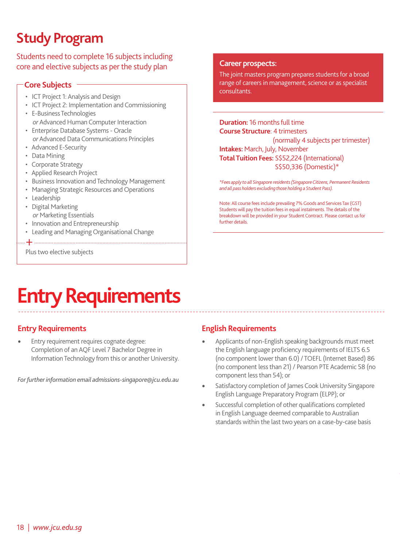Students need to complete 16 subjects including core and elective subjects as per the study plan

#### **Core Subjects**

- ICT Project 1: Analysis and Design
- ICT Project 2: Implementation and Commissioning
- E-Business Technologies *or* Advanced Human Computer Interaction
- Enterprise Database Systems Oracle *or* Advanced Data Communications Principles
- Advanced E-Security
- Data Mining
- Corporate Strategy
- Applied Research Project
- Business Innovation and Technology Management
- Managing Strategic Resources and Operations
- Leadership
- Digital Marketing *or* Marketing Essentials
- Innovation and Entrepreneurship
- Leading and Managing Organisational Change

+

Plus two elective subjects

#### **Career prospects:**

The joint masters program prepares students for a broad range of careers in management, science or as specialist consultants.

#### **Duration:** 16 months full time **Course Structure**: 4 trimesters (normally 4 subjects per trimester)

**Intakes:** March, July, November **Total Tuition Fees:** S\$52,224 (International) S\$50,336 (Domestic)\*

*\*Fees apply to all Singapore residents (Singapore Citizens, Permanent Residents and all pass holders excluding those holding a Student Pass).*

Note: All course fees include prevailing 7% Goods and Services Tax (GST) Students will pay the tuition fees in equal instalments. The details of the breakdown will be provided in your Student Contract. Please contact us for further details.

# **Entry Requirements**

#### **Entry Requirements**

• Entry requirement requires cognate degree: Completion of an AQF Level 7 Bachelor Degree in Information Technology from this or another University.

*For further information email admissions-singapore@jcu.edu.au*

- Applicants of non-English speaking backgrounds must meet the English language proficiency requirements of IELTS 6.5 (no component lower than 6.0) / TOEFL (Internet Based) 86 (no component less than 21) / Pearson PTE Academic 58 (no component less than 54); or
- Satisfactory completion of James Cook University Singapore English Language Preparatory Program (ELPP); or
- Successful completion of other qualifications completed in English Language deemed comparable to Australian standards within the last two years on a case-by-case basis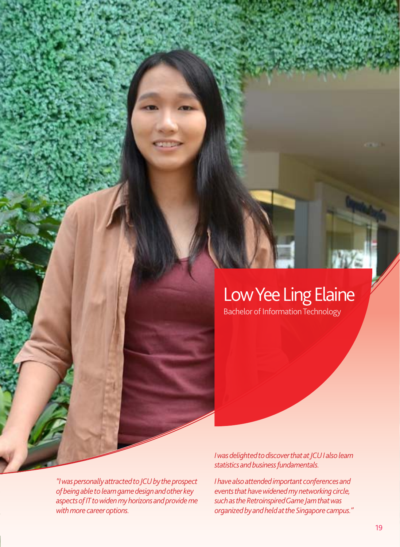# Low Yee Ling Elaine

Bachelor of Information Technology

*"I was personally attracted to JCU by the prospect of being able to learn game design and other key aspects of IT to widen my horizons and provide me with more career options.* 

*I was delighted to discover that at JCU I also learn statistics and business fundamentals.*

*I have also attended important conferences and events that have widened my networking circle, such as the Retroinspired Game Jam that was organized by and held at the Singapore campus."*